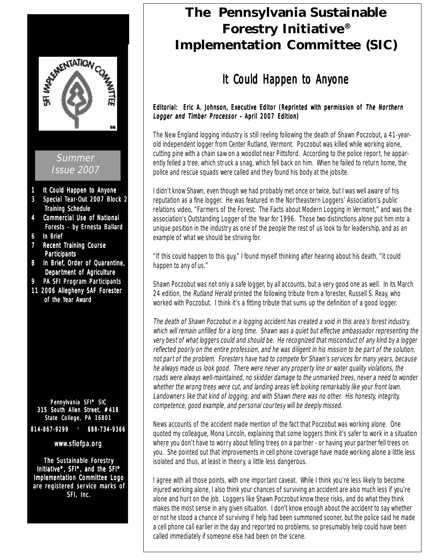

# **The Pennsylvania Sustainable Forestry Initiative® Implementation Committee (SIC)**

# It Could Happen to Anyone

# Editorial: Eric A. Johnson, Executive Editor (Reprinted with permission of The Northern Logger and Timber Processor - April 2007 Edition)

The New England logging industry is still reeling following the death of Shawn Poczobut, a 41-yearold independent logger from Center Rutland, Vermont. Poczobut was killed while working alone, cutting pine with a chain saw on a woodlot near Pittsford. According to the police report, he apparently felled a tree, which struck a snag, which fell back on him. When he failed to return home, the police and rescue squads were called and they found his body at the jobsite.

I didn't know Shawn, even though we had probably met once or twice, but I was well aware of his reputation as a fine logger. He was featured in the Northeastern Loggers' Association's public relations video, "Farmers of the Forest: The Facts about Modern Logging in Vermont," and was the association's Outstanding Logger of the Year for 1996. Those two distinctions alone put him into a unique position in the industry as one of the people the rest of us look to for leadership, and as an example of what we should be striving for.

"If this could happen to this guy," I found myself thinking after hearing about his death, "it could happen to any of us."

Shawn Poczobut was not only a safe logger, by all accounts, but a very good one as well. In its March 24 edition, the Rutland Herald printed the following tribute from a forester, Russell S. Reay, who worked with Poczobut. I think it's a fitting tribute that sums up the definition of a good logger.

The death of Shawn Poczobut in a logging accident has created a void in this area's forest industry, which will remain unfilled for a long time. Shawn was a quiet but effectve ambassador representing the very best of what loggers could and should be. He recognized that misconduct of any kind by a logger reflected poorly on the entire profession, and he was diligent in his mission to be part of the solution, not part of the problem. Foresters have had to compete for Shawn's services for many years, because he always made us look good. There were never any property line or water quality violations, the roads were always well-maintained, no skidder damage to the unmarked trees, never a need to wonder whether the wrong trees were cut, and landing areas left looking remarkably like your front lawn. Landowners like that kind of logging, and with Shawn there was no other. His honesty, integrity, competence, good example, and personal courtesy will be deeply missed.

News accounts of the accident made mention of the fact that Poczobut was working alone. One quoted my colleague, Mona Lincoln, explaining that some loggers think it's safer to work in a situation where you don't have to worry about felling trees on a partner - or having your partner fell trees on you. She pointed out that improvements in cell phone coverage have made working alone a little less isolated and thus, at least in theory, a little less dangerous.

I agree with all those points, with one important caveat. While I think you're less likely to become injured working alone, I also think your chances of surviving an accident are also much less if you're alone and hurt on the job. Loggers like Shawn Poczobut know these risks, and do what they think makes the most sense in any given situation. I don't know enough about the accident to say whether or not he stood a chance of surviving if help had been summoned sooner, but the police said he made a cell phone call earlier in the day and reported no problems, so presumably help could have been called immediately if someone else had been on the scene.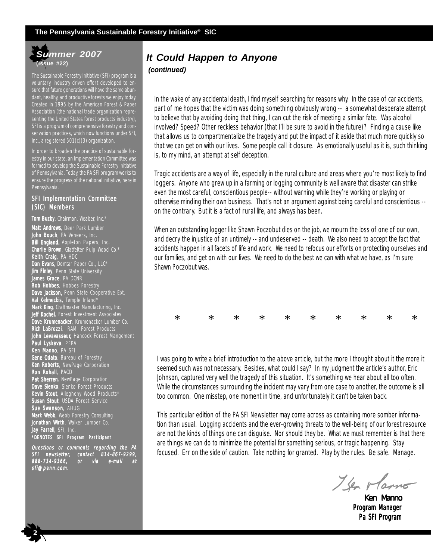# *Summer 2007* **(Issue #22)**

The Sustainable Forestry Initiative (SFI) program is a voluntary, industry driven effort developed to ensure that future generations will have the same abundant, healthy, and productive forests we enjoy today. Created in 1995 by the American Forest & Paper Association (the national trade organization representing the United States forest products industry), SFI is a program of comprehensive forestry and conservation practices, which now functions under SFI, Inc., a registered 501(c)(3) organization.

In order to broaden the practice of sustainable forestry in our state, an Implementation Committee was formed to develop the Sustainable Forestry Initiative of Pennsylvania. Today, the PA SFI program works to ensure the progress of the national initiative, here in Pennsylvania.

#### SFI Implementation Committee (SIC) Members

Tom Buzby, Chairman, Weaber, Inc.\* Matt Andrews, Deer Park Lumber **John Bouch**, PA Veneers, Inc. Bill England, Appleton Papers, Inc. Charlie Brown, Glatfelter Pulp Wood Co.\* Keith Craig, PA HDC Dan Evans, Domtar Paper Co., LLC\* **Jim Finley**, Penn State University James Grace, PA DCNR Bob Hobbes, Hobbes Forestry Dave Jackson, Penn State Cooperative Ext. Val Kelmeckis, Temple Inland\* Mark King, Craftmaster Manufacturing, Inc. Jeff Kochel, Forest Investment Associates Dave Krumenacker, Krumenacker Lumber Co. **Rich LaBrozzi**, RAM Forest Products John Levavasseur, Hancock Forest Mangement **Paul Lyskava**, PFPA **Ken Manno**, PA SFI Gene Odato, Bureau of Forestry **Ken Roberts**, NewPage Corporation Ron Rohall, PACD Pat Sherren, NewPage Corporation Dave Sienko, Sienko Forest Products Kevin Stout, Allegheny Wood Products\* Susan Stout, USDA Forest Service Sue Swanson, AHUG Mark Webb, Webb Forestry Consulting Jonathan Wirth, Walker Lumber Co. Jay Farrell, SFI, Inc. \*DENOTES SFI Program Par ticipant

Questions or comments regarding the PA SFI newsletter, contact 814-867-9299, 814-867-9299, 888-734-9366, or via e-mail at sfi@penn.com.

 **2**

# *It Could Happen to Anyone*

*(continued)*

In the wake of any accidental death, I find myself searching for reasons why. In the case of car accidents, part of me hopes that the victim was doing something obviously wrong -- a somewhat desperate attempt to believe that by avoiding doing that thing, I can cut the risk of meeting a similar fate. Was alcohol involved? Speed? Other reckless behavior (that I'll be sure to avoid in the future)? Finding a cause like that allows us to compartmentalize the tragedy and put the impact of it aside that much more quickly so that we can get on with our lives. Some people call it closure. As emotionally useful as it is, such thinking is, to my mind, an attempt at self deception.

Tragic accidents are a way of life, especially in the rural culture and areas where you're most likely to find loggers. Anyone who grew up in a farming or logging community is well aware that disaster can strike even the most careful, conscientious people-- without warning while they're working or playing or otherwise minding their own business. That's not an argument against being careful and conscientious - on the contrary. But it is a fact of rural life, and always has been.

When an outstanding logger like Shawn Poczobut dies on the job, we mourn the loss of one of our own, and decry the injustice of an untimely -- and undeserved -- death. We also need to accept the fact that accidents happen in all facets of life and work. We need to refocus our efforts on protecting ourselves and our families, and get on with our lives. We need to do the best we can with what we have, as I'm sure Shawn Poczobut was.

| $* \qquad * \qquad * \qquad * \qquad * \qquad * \qquad * \qquad * \qquad *$ |  |  |  |  |  |
|-----------------------------------------------------------------------------|--|--|--|--|--|

I was going to write a brief introduction to the above article, but the more I thought about it the more it seemed such was not necessary. Besides, what could I say? In my judgment the article's author, Eric Johnson, captured very well the tragedy of this situation. It's something we hear about all too often. While the circumstances surrounding the incident may vary from one case to another, the outcome is all too common. One misstep, one moment in time, and unfortunately it can't be taken back.

This particular edition of the PA SFI Newsletter may come across as containing more somber information than usual. Logging accidents and the ever-growing threats to the well-being of our forest resource are not the kinds of things one can disguise. Nor should they be. What we must remember is that there are things we can do to minimize the potential for something serious, or tragic happening. Stay focused. Err on the side of caution. Take nothing for granted. Play by the rules. Be safe. Manage.

I've rlamo

Ken Manno Program Manager Pa SFI Program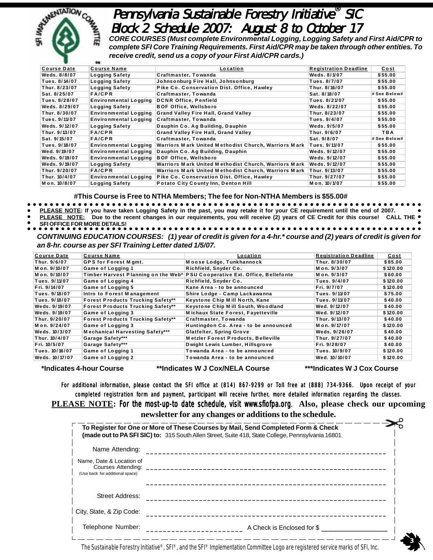

b5a316b4a216342397b

# Pennsylvania Sustainable Forestry Initiative® SIC Block 2 Schedule 2007: August 8 to October 17

*CORE COURSES (Must complete Environmental Logging, Logging Safety and First Aid/CPR to complete SFI Core Training Requirements. First Aid/CPR may be taken through other entities. To receive credit, send us a copy of your First Aid/CPR cards.)*

| <b>Course Date</b> | <b>Course Name</b>           | <u>Location</u>                                      | <b>Registration Deadline</b> | <u>Cost</u>  |
|--------------------|------------------------------|------------------------------------------------------|------------------------------|--------------|
| Weds. 8/8/07       | Logging Safety               | Craftmaster, Towanda                                 | Weds. 8/1/07                 | \$55.00      |
| Tues. 8/14/07      | Logging Safety               | Johnsonburg Fire Hall, Johnsonburg                   | Tues. 8/7/07                 | \$55.00      |
| Thur. 8/23/07      | Logging Safety               | Pike Co. Conservation Dist. Office, Hawley           | Thur. 8/16/07                | \$55.00      |
| Sat. 8/25/07       | <b>FA/CPR</b>                | Craftmaster, Towanda                                 | Sat. 8/18/07                 | # See Below# |
| Tues. 8/28/07      | <b>Environmental Logging</b> | <b>DCNR Office, Penfield</b>                         | Tues. 8/21/07                | \$55.00      |
| Weds. 8/29/07      | <b>Logging Safety</b>        | <b>BOF Office, Wellsboro</b>                         | Weds. 8/22/07                | \$55.00      |
| Thur. 8/30/07      | <b>Environmental Logging</b> | <b>Grand Valley Fire Hall, Grand Valley</b>          | Thur. 8/23/07                | \$55.00      |
| Tues. 9/11/07      | <b>Environmental Logging</b> | Craftmaster, Towanda                                 | Tues. 9/4/07                 | \$55.00      |
| Weds. 9/12/07      | <b>Logging Safety</b>        | Dauphin Co. Ag Building, Dauphin                     | Weds. 9/5/07                 | \$55.00      |
| Thur. 9/13/07      | <b>FA/CPR</b>                | <b>Grand Valley Fire Hall, Grand Valley</b>          | Thur. 9/6/07                 | TBA          |
| Sat. 9/15/07       | <b>FA/CPR</b>                | Craftmaster, Towanda                                 | Sat. 9/8/07                  | # See Below# |
| Tues. 9/18/07      | <b>Environmental Logging</b> | Warriors Mark United Methodist Church, Warriors Mark | Tues. 9/11/07                | \$55.00      |
| Wed. 9/19/07       | <b>Environmental Logging</b> | Dauphin Co. Ag Building, Dauphin                     | Weds. 9/12/07                | \$55.00      |
| Weds. 9/19/07      | <b>Environmental Logging</b> | <b>BOF Office, Wellsboro</b>                         | Weds. 9/12/07                | \$55.00      |
| Weds. 9/19/07      | <b>Logging Safety</b>        | Warriors Mark United Methodist Church, Warriors Mark | Weds. 9/12/07                | \$55.00      |
| Thur. 9/20/07      | <b>FA/CPR</b>                | Warriors Mark United Methodist Church, Warriors Mark | Thur. 9/13/07                | \$55.00      |
| Thur. 10/4/07      | <b>Environmental Logging</b> | Pike Co. Conservation Dist. Office, Hawley           | Thur. 9/27/07                | \$55.00      |
| Mon. 10/8/07       | Logging Safety               | <b>Potato City County Inn, Denton Hill</b>           | Mon. 10/1/07                 | \$55.00      |

**#This Course is Free to NTHA Members; The fee for Non-NTHA Members is \$55.00#**

- **PLEASE NOTE: If you have taken Logging Safety in the past, you may retake it for your CE requirement until the end of 2007.**
- **PLEASE NOTE: Due to the recent changes in our requirements, you will receive (2) years of CE Credit for this course! CALL THE**
- **SFI OFFICE FOR MORE DETAILS!**

*CONTINUING EDUCATION COURSES: (1) year of credit is given for a 4-hr.\* course and (2) years of credit is given for an 8-hr. course as per SFI Training Letter dated 1/5/07.*

| <b>Course Date</b> | <b>Course Name</b>                       | Location                                                                    | <b>Registration Deadline</b> | <u>Cost</u> |
|--------------------|------------------------------------------|-----------------------------------------------------------------------------|------------------------------|-------------|
| Thur. 9/6/07       | <b>GPS for Forest M gmt.</b>             | Moose Lodge, Tunkhannock                                                    | Thur. 8/30/07                | \$85.00     |
| Mon. 9/10/07       | Game of Logging 1                        | Richfield, Snyder Co.                                                       | Mon. 9/3/07                  | \$120.00    |
| Mon. 9/10/07       |                                          | Timber Harvest Planning on the Web* PSU Cooperative Ext. Office, Bellefonte | Mon. 9/3/07                  | \$60.00     |
| Tues. 9/11/07      | Game of Logging 4                        | Richfield, Snyder Co.                                                       | Tues. 9/4/07                 | \$120.00    |
| Fri. 9/14/07       | Game of Logging 5                        | Kane Area - to be announced                                                 | Fri. 9/7/07                  | \$120.00    |
| Tues. 9/18/07      | Intro to Forest Management               | Shire Lodge - Camp Lackawanna                                               | Tues. 9/11/07                | \$75.00     |
| Tues. 9/18/07      | <b>Forest Products Trucking Safety**</b> | Keystone Chip Mill North, Kane                                              | Tues. 9/11/07                | \$40.00     |
| Weds. 9/19/07      | <b>Forest Products Trucking Safety**</b> | Keystone Chip Mill South, Woodland                                          | Wed. 9/12/07                 | \$40.00     |
| Weds. 9/19/07      | Game of Logging 3                        | <b>Michaux State Forest, Fayetteville</b>                                   | Wed. 9/12/07                 | \$120.00    |
| Thur. 9/20/07      | <b>Forest Products Trucking Safety**</b> | Craftmaster, Towanda                                                        | Thur. 9/13/07                | \$40.00     |
| Mon. 9/24/07       | <b>Game of Logging 3</b>                 | Huntingdon Co. Area - to be announced                                       | Mon. 9/17/07                 | \$120.00    |
| Weds, 10/3/07      | <b>Mechanical Harvesting Safety***</b>   | <b>Glatfelter, Spring Grove</b>                                             | Weds. 9/26/07                | \$40.00     |
| Thur. 10/4/07      | Garage Safety***                         | <b>Metzler Forest Products, Belleville</b>                                  | Thur. 9/27/07                | \$40.00     |
| Fri. 10/5/07       | Garage Safety***                         | Dwight Lewis Lumber, Hillsgrove                                             | Fri. 9/28/07                 | \$40.00     |
| Tues. 10/16/07     | Game of Logging 1                        | Towanda Area - to be announced                                              | Tues. 10/9/07                | \$120.00    |
| Weds. 10/17/07     | Game of Logging 2                        | Towanda Area - to be announced                                              | Wed. 10/10/07                | \$120.00    |

**\*Indicates 4-hour Course \*\*Indicates W J Cox/NELA Course \*\*\*Indicates W J Cox Course**

For additional information, please contact the SFI office at (814) 867-9299 or Toll free at (888) 734-9366. Upon receipt of your completed registration form and payment, participant will receive further, more detailed information regarding the classes. **PLEASE NOTE:** For the most-up-to date schedule, visit www.sfiofpa.org. Also, please check our upcoming **newsletter for any changes or additions to the schedule.**

|                                                                                   | To Register for One or More of These Courses by Mail, Send Completed Form & Check<br><b>(made out to PA SFI SIC) to:</b> 315 South Allen Street, Suite 418, State College, Pennsylvania 16801 |  |
|-----------------------------------------------------------------------------------|-----------------------------------------------------------------------------------------------------------------------------------------------------------------------------------------------|--|
| Name Attending:                                                                   |                                                                                                                                                                                               |  |
| Name, Date & Location of<br>Courses Attending:<br>(Use back for additional space) |                                                                                                                                                                                               |  |
| Street Address:                                                                   |                                                                                                                                                                                               |  |
| City, State, & Zip Code:                                                          |                                                                                                                                                                                               |  |
| Telephone Number:                                                                 | A Check is Enclosed for \$                                                                                                                                                                    |  |

The Sustainable Forestry Initiative®, SFI®, and the SFI® Implementation Committee Logo are registered service marks of SFI, Inc.**<sup>3</sup>**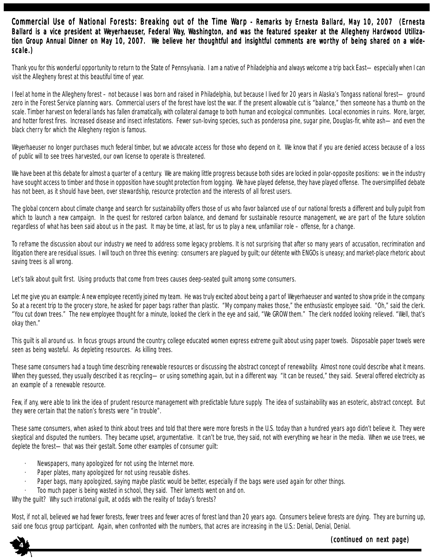### Commercial Use of National Forests: Breaking out of the Time Warp - Remarks by Ernesta Ballard, May 10, 2007 (Ernesta Ballard is a vice president at Weyerhaeuser, Federal Way, Washington, and was the featured speaker at the Allegheny Hardwood Utilization Group Annual Dinner on May 10, 2007. We believe her thoughtful and insightful comments are worthy of being shared on a widescale.)

Thank you for this wonderful opportunity to return to the State of Pennsylvania. I am a native of Philadelphia and always welcome a trip back East—especially when I can visit the Allegheny forest at this beautiful time of year.

I feel at home in the Allegheny forest – not because I was born and raised in Philadelphia, but because I lived for 20 years in Alaska's Tongass national forest— ground zero in the Forest Service planning wars. Commercial users of the forest have lost the war. If the present allowable cut is "balance," then someone has a thumb on the scale. Timber harvest on federal lands has fallen dramatically, with collateral damage to both human and ecological communities. Local economies in ruins. More, larger, and hotter forest fires. Increased disease and insect infestations. Fewer sun-loving species, such as ponderosa pine, sugar pine, Douglas-fir, white ash—and even the black cherry for which the Allegheny region is famous.

Weyerhaeuser no longer purchases much federal timber, but we advocate access for those who depend on it. We know that if you are denied access because of a loss of public will to see trees harvested, our own license to operate is threatened.

We have been at this debate for almost a quarter of a century. We are making little progress because both sides are locked in polar-opposite positions: we in the industry have sought access to timber and those in opposition have sought protection from logging. We have played defense, they have played offense. The oversimplified debate has not been, as it should have been, over stewardship, resource protection and the interests of all forest users.

The global concern about climate change and search for sustainability offers those of us who favor balanced use of our national forests a different and bully pulpit from which to launch a new campaign. In the quest for restored carbon balance, and demand for sustainable resource management, we are part of the future solution regardless of what has been said about us in the past. It may be time, at last, for us to play a new, unfamiliar role – offense, for a change.

To reframe the discussion about our industry we need to address some legacy problems. It is not surprising that after so many years of accusation, recrimination and litigation there are residual issues. I will touch on three this evening: consumers are plagued by guilt; our détente with ENGOs is uneasy; and market-place rhetoric about saving trees is all wrong.

Let's talk about guilt first. Using products that come from trees causes deep-seated guilt among some consumers.

Let me give you an example: A new employee recently joined my team. He was truly excited about being a part of Weyerhaeuser and wanted to show pride in the company. So at a recent trip to the grocery store, he asked for paper bags rather than plastic. "My company makes those," the enthusiastic employee said. "Oh," said the clerk. "You cut down trees." The new employee thought for a minute, looked the clerk in the eye and said, "We GROW them." The clerk nodded looking relieved. "Well, that's okay then."

This quilt is all around us. In focus groups around the country, college educated women express extreme guilt about using paper towels. Disposable paper towels were seen as being wasteful. As depleting resources. As killing trees.

These same consumers had a tough time describing renewable resources or discussing the abstract concept of renewability. Almost none could describe what it means. When they guessed, they usually described it as recycling—or using something again, but in a different way. "It can be reused," they said. Several offered electricity as an example of a renewable resource.

Few, if any, were able to link the idea of prudent resource management with predictable future supply. The idea of sustainability was an esoteric, abstract concept. But they were certain that the nation's forests were "in trouble".

These same consumers, when asked to think about trees and told that there were more forests in the U.S. today than a hundred years ago didn't believe it. They were skeptical and disputed the numbers. They became upset, argumentative. It can't be true, they said, not with everything we hear in the media. When we use trees, we deplete the forest—that was their gestalt. Some other examples of consumer guilt:

- Newspapers, many apologized for not using the Internet more.
- Paper plates, many apologized for not using reusable dishes.
- Paper bags, many apologized, saying maybe plastic would be better, especially if the bags were used again for other things.
- · Too much paper is being wasted in school, they said. Their laments went on and on.

Why the quilt? Why such irrational quilt, at odds with the reality of today's forests?

Most, if not all, believed we had fewer forests, fewer trees and fewer acres of forest land than 20 years ago. Consumers believe forests are dying. They are burning up, said one focus group participant. Again, when confronted with the numbers, that acres are increasing in the U.S.: Denial, Denial, Denial.

**(continued on next page)** 

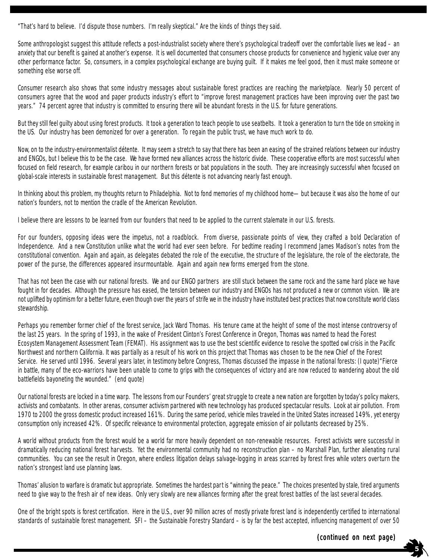"That's hard to believe. I'd dispute those numbers. I'm really skeptical." Are the kinds of things they said.

Some anthropologist suggest this attitude reflects a post-industrialist society where there's psychological tradeoff over the comfortable lives we lead – an anxiety that our benefit is gained at another's expense. It is well documented that consumers choose products for convenience and hygienic value over any other performance factor. So, consumers, in a complex psychological exchange are buying guilt. If it makes me feel good, then it must make someone or something else worse off.

Consumer research also shows that some industry messages about sustainable forest practices are reaching the marketplace. Nearly 50 percent of consumers agree that the wood and paper products industry's effort to "improve forest management practices have been improving over the past two years." 74 percent agree that industry is committed to ensuring there will be abundant forests in the U.S. for future generations.

But they still feel guilty about using forest products. It took a generation to teach people to use seatbelts. It took a generation to turn the tide on smoking in the US. Our industry has been demonized for over a generation. To regain the public trust, we have much work to do.

Now, on to the industry-environmentalist détente. It may seem a stretch to say that there has been an easing of the strained relations between our industry and ENGOs, but I believe this to be the case. We have formed new alliances across the historic divide. These cooperative efforts are most successful when focused on field research, for example caribou in our northern forests or bat populations in the south. They are increasingly successful when focused on global-scale interests in sustainable forest management. But this détente is not advancing nearly fast enough.

In thinking about this problem, my thoughts return to Philadelphia. Not to fond memories of my childhood home—but because it was also the home of our nation's founders, not to mention the cradle of the American Revolution.

I believe there are lessons to be learned from our founders that need to be applied to the current stalemate in our U.S. forests.

For our founders, opposing ideas were the impetus, not a roadblock. From diverse, passionate points of view, they crafted a bold Declaration of Independence. And a new Constitution unlike what the world had ever seen before. For bedtime reading I recommend James Madison's notes from the constitutional convention. Again and again, as delegates debated the role of the executive, the structure of the legislature, the role of the electorate, the power of the purse, the differences appeared insurmountable. Again and again new forms emerged from the stone.

That has not been the case with our national forests. We and our ENGO partners are still stuck between the same rock and the same hard place we have fought in for decades. Although the pressure has eased, the tension between our industry and ENGOs has not produced a new or common vision. We are not uplifted by optimism for a better future, even though over the years of strife we in the industry have instituted best practices that now constitute world class stewardship.

Perhaps you remember former chief of the forest service, Jack Ward Thomas. His tenure came at the height of some of the most intense controversy of the last 25 years. In the spring of 1993, in the wake of President Clinton's Forest Conference in Oregon, Thomas was named to head the Forest Ecosystem Management Assessment Team (FEMAT). His assignment was to use the best scientific evidence to resolve the spotted owl crisis in the Pacific Northwest and northern California. It was partially as a result of his work on this project that Thomas was chosen to be the new Chief of the Forest Service. He served until 1996. Several years later, in testimony before Congress, Thomas discussed the impasse in the national forests: (I quote)"Fierce in battle, many of the eco-warriors have been unable to come to grips with the consequences of victory and are now reduced to wandering about the old battlefields bayoneting the wounded." (end quote)

Our national forests are locked in a time warp. The lessons from our Founders' great struggle to create a new nation are forgotten by today's policy makers, activists and combatants. In other arenas, consumer activism partnered with new technology has produced spectacular results. Look at air pollution. From 1970 to 2000 the gross domestic product increased 161%. During the same period, vehicle miles traveled in the United States increased 149%, yet energy consumption only increased 42%. Of specific relevance to environmental protection, aggregate emission of air pollutants decreased by 25%.

A world without products from the forest would be a world far more heavily dependent on non-renewable resources. Forest activists were successful in dramatically reducing national forest harvests. Yet the environmental community had no reconstruction plan – no Marshall Plan, further alienating rural communities. You can see the result in Oregon, where endless litigation delays salvage-logging in areas scarred by forest fires while voters overturn the nation's strongest land use planning laws.

Thomas' allusion to warfare is dramatic but appropriate. Sometimes the hardest part is "winning the peace." The choices presented by stale, tired arguments need to give way to the fresh air of new ideas. Only very slowly are new alliances forming after the great forest battles of the last several decades.

One of the bright spots is forest certification. Here in the U.S., over 90 million acres of mostly private forest land is independently certified to international standards of sustainable forest management. SFI – the Sustainable Forestry Standard – is by far the best accepted, influencing management of over 50

 **5**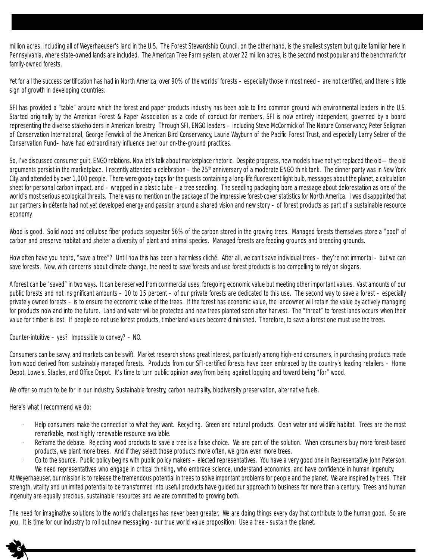million acres, including all of Weyerhaeuser's land in the U.S. The Forest Stewardship Council, on the other hand, is the smallest system but quite familiar here in Pennsylvania, where state-owned lands are included. The American Tree Farm system, at over 22 million acres, is the second most popular and the benchmark for family-owned forests.

Yet for all the success certification has had in North America, over 90% of the worlds' forests – especially those in most need – are not certified, and there is little sign of growth in developing countries.

SFI has provided a "table" around which the forest and paper products industry has been able to find common ground with environmental leaders in the U.S. Started originally by the American Forest & Paper Association as a code of conduct for members, SFI is now entirely independent, governed by a board representing the diverse stakeholders in American forestry. Through SFI, ENGO leaders – including Steve McCormick of The Nature Conservancy, Peter Seligman of Conservation International, George Fenwick of the American Bird Conservancy, Laurie Wayburn of the Pacific Forest Trust, and especially Larry Selzer of the Conservation Fund– have had extraordinary influence over our on-the-ground practices.

So, I've discussed consumer guilt, ENGO relations. Now let's talk about marketplace rhetoric. Despite progress, new models have not yet replaced the old—the old arguments persist in the marketplace. I recently attended a celebration – the 25<sup>th</sup> anniversary of a moderate ENGO think tank. The dinner party was in New York City, and attended by over 1,000 people. There were goody bags for the guests containing a long-life fluorescent light bulb, messages about the planet, a calculation sheet for personal carbon impact, and – wrapped in a plastic tube – a tree seedling. The seedling packaging bore a message about deforestation as one of the world's most serious ecological threats. There was no mention on the package of the impressive forest-cover statistics for North America. I was disappointed that our partners in détente had not yet developed energy and passion around a shared vision and new story – of forest products as part of a sustainable resource economy.

Wood is good. Solid wood and cellulose fiber products sequester 56% of the carbon stored in the growing trees. Managed forests themselves store a "pool" of carbon and preserve habitat and shelter a diversity of plant and animal species. Managed forests are feeding grounds and breeding grounds.

How often have you heard, "save a tree"? Until now this has been a harmless cliché. After all, we can't save individual trees – they're not immortal – but we can save forests. Now, with concerns about climate change, the need to save forests and use forest products is too compelling to rely on slogans.

A forest can be "saved" in two ways. It can be reserved from commercial uses, foregoing economic value but meeting other important values. Vast amounts of our public forests and not insignificant amounts – 10 to 15 percent – of our private forests are dedicated to this use. The second way to save a forest – especially privately owned forests – is to ensure the economic value of the trees. If the forest has economic value, the landowner will retain the value by actively managing for products now and into the future. Land and water will be protected and new trees planted soon after harvest. The "threat" to forest lands occurs when their value for timber is lost. If people do not use forest products, timberland values become diminished. Therefore, to save a forest one must use the trees.

Counter-intuitive – yes? Impossible to convey? – NO.

Consumers can be savvy, and markets can be swift. Market research shows great interest, particularly among high-end consumers, in purchasing products made from wood derived from sustainably managed forests. Products from our SFI-certified forests have been embraced by the country's leading retailers – Home Depot, Lowe's, Staples, and Office Depot. It's time to turn public opinion away from being against logging and toward being "for" wood.

We offer so much to be for in our industry. Sustainable forestry, carbon neutrality, biodiversity preservation, alternative fuels.

Here's what I recommend we do:

 **6**

- · Help consumers make the connection to what they want. Recycling. Green and natural products. Clean water and wildlife habitat. Trees are the most remarkable, most highly renewable resource available.
- Reframe the debate. Rejecting wood products to save a tree is a false choice. We are part of the solution. When consumers buy more forest-based products, we plant more trees. And if they select those products more often, we grow even more trees.
- Go to the source. Public policy begins with public policy makers elected representatives. You have a very good one in Representative John Peterson. We need representatives who engage in critical thinking, who embrace science, understand economics, and have confidence in human ingenuity.

At Weyerhaeuser, our mission is to release the tremendous potential in trees to solve important problems for people and the planet. We are inspired by trees. Their strength, vitality and unlimited potential to be transformed into useful products have guided our approach to business for more than a century. Trees and human ingenuity are equally precious, sustainable resources and we are committed to growing both.

The need for imaginative solutions to the world's challenges has never been greater. We are doing things every day that contribute to the human good. So are you. It is time for our industry to roll out new messaging - our true world value proposition: Use a tree - sustain the planet.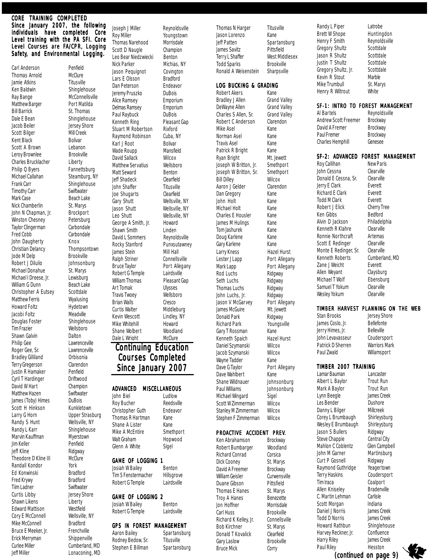#### CORE TRAINING COMPLETED Since January 2007, the following individuals have completed Core Level training with the PA SFI. Core Level Courses are FA/CPR, Logging Safety, and Environmental Logging.

Carl Anderson Penfield<br>
Thomas Arnold McClure Thomas Arnold Jamie Atkins Titusville<br>Ken Baldwin Shingleh Ray Bange McConnellsville Matthew Barger Port Matilda Bill Barrick St. Thomas Dale E Bean Shinglehouse Jacob Beiler Jersey Shore Scott Bilger Mill Creek<br>Kent Black Bolivar Kent Black Bolivar Scott A Brown Leroy Brownlee Brookville Charles Brucklacher Liberty Philip Q Byers Fannettsburg Michael Callahan Steamburg, NY Frank Carr Shinglehouse<br>Timothy Carr Swiftwater Timothy Carr<br>Mark Case Nick Chamberlin St. Marys John N Chapman, Jr. Brockport Winston Chesney **Petersburg** Taylor Clingerman Carbondale Fred Cobb Carbondale John Daugherty Knox<br>Christian Delancy Khompsontown Christian Delancy Jode M Delp Brookville Robert J Dilulio Johnsonburg Michael Donahue St. Marys Michael I Dreese, Jr. Lewisburg<br>William G Dunn Beach Lake William G Dunn Christopher A Eutsey Scottdale Matthew Ferris Wyalusing Howard Foltz Hydetown Jacobi Foltz Douglas Foster Shinglehouse Tim Frazier Wellsboro Shawn Galvin Dalton Philip Gee Lawrenceville Roger Gee, Sr. Lawrenceville<br>Bradlev Gilliland Orbisonia **Bradley Gilliland** Terry Gregerson Clarendon Justin R Hamaker Penfield Cyril T Hardinger Driftwood David W Hart Champion Matthew Hazen Swiftwater James (Toby) Himes DuBois<br>Scott H Hinkson Kunkletown Scott H Hinkson Larry G Horn Upper Strasburg Randy S Hunt Wellsville, NY<br>Randy L Karr Shinglehouse Marvin Kauffman Myerstown Jim Keller Penfield Jeff Kline **Broad Communist Providgway**<br>Theodore D Kline III McClure Theodore D Kline III McCli<br>Randall Kondor Vork Randall Kondor Ed Konwinski Bradford Fred Krywy Bradford Tiim Ladner Swiftwater Curtis Libby Jersey Shore Shawn Likens Liberty Edward Mattison Westfield Cory E McConnell Wellsville, NY Mike McConnell Bradford Bruce E Meeker, Jr. Frenchville Erick Merryman Shippenville Curlee Miller Cumberland, MD<br>Jeff Miller Conaconing, MD Caries which the Cariberland, with Stephen L Billman Spartansburg Bruce Mick **Corry Constant Constant Pressum (Continued on page 0)** 

Shinglehouse **Beach Lake** Shinglehouse

Roy Miller Youngstown Thomas Narehood Morrisdale Scott D Naugle Champion Leo Bear Niedzwiecki Benton Nick Parker Michias, NY Jason Pequignot Covington<br>Lars E Olsson Bradford Lars E Olsson Bradford<br>
Dan Peterson Endeavor Dan Peterson Jeremy Pruszko DuBois Alice Ramsey Emporium Delmas Ramsey Emporium Paul Raybuck DuBois Kenneth Ring Pleasant Gap Stuart M Robertson Rixford Raymond Robinson Cuba, NY Karl J Root Bolivar Wade Roupp Mansfield<br>
David Sallack Wilcox David Sallack Matthew Servatius Wellsboro<br>
Matt Seward Benton Matt Seward Jeff Shadeck Clearfield John Shaffer<br>Joe Shugarts Clearfield Joe Shugarts Gary Shutt Wellsville, NY Jason Shutt Wellsville, NY Leo Shutt Wellsville, NY George A Smith, Jr. Howard<br>Shawn Smith Linden Shawn Smith Rocky Stanford James Stein Mill Hall Ralph Striner Connellsville Robert G Temple Lairdsville<br>William Thomas Pleasant Gap William Thomas Art Tomak Ulysses<br>Travis Twoev Wellsboro Travis Twoey Wellsborough **Brian Walls** Curtis Walter Middleburg Kevin Wescott Lindley, NY Mike Whitehill **Howard**<br>
Shane Wolbert **Woodland** Shane Wolbert Woodland<br>Dale L Wright McClure Dale L Wright John Biel

Robert G Temple Josiah W Bailey Benton

Robert G Temple Lairdsville Aaron Bailey Spartansburg

Rodney Bedow, Sr. Titusville<br>Stephen E Billman Spartansburg Stephen E Billman

Joseph J Miller Reynoldsville David L Sommers Reynoldsville<br>
Rocky Stanford Punxsutawney Bruce Taylor Port Allegany

# **Continuing Education** Courses Completed Since January 2007

# **ADVANCED MISCELLANEOUS**<br>John Biel Ludlow

Roy Bucher Reedsville Christopher Guth Endeavor Thomas R Hartman Kane Shane A Lister Kane Mike A McEntire Smethport Walt Graham Hopwood Glenn A White Sigel

#### GAME OF LOGGING 1

Josiah W Bailey Benton Tim S Fenstermacher Hillsgrove<br>Robert G Temple Lairdsville

### GAME OF LOGGING 2

### GPS IN FOREST MANAGEMENT

Thomas N Harger Titusville Jason Lorenzo Kane Jeff Patten Spartansburg James Savitz Pittsfield Todd Sparks Brookville Ronald A Weisenstein Sharpsville

#### LOG BUCKING & GRADING

Robert Akers Kane Bradley J Allen Grand Valley DeWayne Allen Grand Valley Charles S Allen, Sr. Grand Valley Robert C Anderson Clarendon Mike Asel **Kane** Norman Asel Kane Travis Asel Kane Patrick R Bright Kane Ryan Bright Mt. Jewett<br>Joseph W Britton. Jr. Smethport Joseph W Britton, Jr. Joseph W Britton, Sr. Smethport Bill Dilley Wilcox Aaron J Gelder Clarendon Dan Gregory Kane John Holt Kane Michael Holt Kane Charles E Housler Kane James M Hulings Kane Tom Jashurek Kane Doug Karlene Kane Gary Karlene Kane Larry Kness Hazel Hurst Lester J Lapp Port Allegany Mark Lapp Port Allegany Rod Luchs Ridgway Seth Luchs<br>
Thomas Luchs<br>
Ridgway **Thomas Luchs** John Luchs, Jr. Ridgway<br>Jason V McGarvey Port Allegany Jason V McGarvey James McGuire Mt. Jewett Donald Park Ridgway Richard Park Youngsville Gary T Rossman Kane<br>Kenneth Spaich Hazel Hurst Kenneth Spaich Daniel Szymanski Wilcox Jacob Szymanski Wilcox Wayne Tadder Kane Dave G Taylor Port Allegany Dave Wahlbert Kane Shane Wildnauer Johnsonburg<br>Paul Williams Johnsonburg Michael Wingard Scott W Zimmerman Wilcox Stanley M Zimmerman Wilcox Stephen F Zimmerman Wilcox

#### PROACTIVE ACCIDENT PREV.

Johnsonburg<br>Sigel

Brookville

Ken Abrahamson Brockway Robert Bumbarger Woodland Richard Conrad Corsica Dick Cooney St. Marys David A Freemer Brockway William Geisler Curwensville Duane Gibson Pittsfield Thomas E Hanes St. Marys Troy A Hanes Benezette Jon Hoffner Morrisdale<br>Carl Huss Brookville Richard K Kelley, Jr. Connellsville Bob Kirchner St. Marys<br>Donald T Kovalick Clearfield Donald T Kovalick Gary Laslow Brookville Bruce Mick Corry

West Middlesex

Randy L Piper Latrobe Brett W Shope Huntingdon Henry F Smith Reynoldsville Gregory Shultz Scottdale Jason R Shultz<br>Justin T Shultz Scottdale Justin T Shultz<br>Gregory Shultz, Jr. Scottdale Gregory Shultz, Jr. Scottd<br>Kevin R Stout Marble Kevin R Stout Mike Trumbull St. Marys Henry R Wiltrout White

#### SF-1: INTRO TO FOREST MANAGEMENT

Al Bartels<br>Andrew Scott Freemer Brockway Andrew Scott Freemer Brockway<br>David A Fremer Brockway David A Fremer Paul Fremer Brockway Charles Hemphill Genesee

#### SF-2: ADVANCED FOREST MANAGEMENT

Roy Callihan New Paris John Cessna<br>Donald E Cessna, Sr. Clearville **Donald E Cessna, Sr. Clearvill**<br>Lerry E Clark **Exercity** Jerry E Clark Richard E Clark **Everett** Todd M Clark Everett Robert J Elick Cherry Tree Ken Gibbs Bedford Alvin D Jackson Philadelphia Kenneth R Klahre Clearville Ronnie Northcraft Artemas<br>Scott E Redinger Clearville Scott E Redinger Monte E Redinger, Sr. Clearville<br>Kenneth Roberts Cumberland, MD Kenneth Roberts Zane J Weicht **Everett** Allen Weyant Claysburg Michael T Wolf Ebensburg Samuel T Yokum Clearville Wesley Yokum Clearville

#### TIMBER HARVEST PLANNING ON THE WEB

Stan Brooks Jersey Shore<br>James Coslo. Jr. Bellefonte James Coslo, Jr.<br>Jerry Himes, Jr. Belleville Jerry Himes, Jr. John Levavasseur Coudersport Patrick D Sherren Warriors Mark Paul Zwald Willamsport

#### TIMBER 2007 TRAINING

Lamar Bauman i Lancaster<br>Albert L. Baylor i Trout Run Albert L Baylor Trout Run Mark A Baylor Trout Run Lynn Beegle Les Bender Dushore Danny L Bilger Millcreek Corey L Brumbaugh Shirleysburg Wesley E Brumbaugh Shirleysburg<br>Jason S Bullers Ridgway Jason S Bullers Steve Chappie Central City Mahlon C Coblentz Glen Campbell John M Garner Martinsburg Curt P Gosnell Ridgway Raymond Guthridge Yeagertown Terry Haskins Coudersport Allen Kniselev C. Martin Lehman Carlisle Scott Morgan Indiana Daniel J Norris James Creek Todd D Norris James Creek<br>Howard Rathbun Shinglehou: Harvey Reckner, Jr. Confluence<br>Harry Riley James Creek Harry Riley Paul Riley Hesston

Coalport<br>Bradenville Shinglehouse<br>Confluence (continued on page 9)

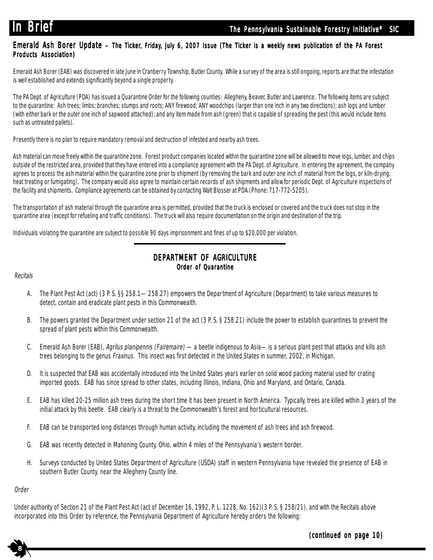### Emerald Ash Borer Update – The Ticker, Friday, July 6, 2007 Issue (The Ticker is a weekly news publication of the PA Forest Products Association)

Emerald Ash Borer (EAB) was discovered in late June in Cranberry Township, Butler County. While a survey of the area is still ongoing, reports are that the infestation is well established and extends significantly beyond a single property.

The PA Dept. of Agriculture (PDA) has issued a Quarantine Order for the following counties: Allegheny, Beaver, Butler and Lawrence. The following items are subject to the quarantine: Ash trees; limbs; branches; stumps and roots; ANY firewood; ANY woodchips (larger than one inch in any two directions); ash logs and lumber (with either bark or the outer one inch of sapwood attached); and any item made from ash (green) that is capable of spreading the pest (this would include items such as untreated pallets).

Presently there is no plan to require mandatory removal and destruction of infested and nearby ash trees.

Ash material can move freely within the quarantine zone. Forest product companies located within the quarantine zone will be allowed to move logs, lumber, and chips outside of the restricted area, provided that they have entered into a compliance agreement with the PA Dept. of Agriculture. In entering the agreement, the company agrees to process the ash material within the quarantine zone prior to shipment (by removing the bark and outer one inch of material from the logs, or kiln-drying, heat treating or fumigating). The company would also agree to maintain certain records of ash shipments and allow for periodic Dept. of Agriculture inspections of the facility and shipments. Compliance agreements can be obtained by contacting Walt Blosser at PDA (Phone: 717-772-5205).

The transportation of ash material through the quarantine area is permitted, provided that the truck is enclosed or covered and the truck does not stop in the quarantine area (except for refueling and traffic conditions). The truck will also require documentation on the origin and destination of the trip.

Individuals violating the quarantine are subject to possible 90 days imprisonment and fines of up to \$20,000 per violation.

# DEPARTMENT OF AGRICULTURE Order of Quarantine

#### **Recitals**

- A. The Plant Pest Act (act) (3 P. S. §§ 258.1—258.27) empowers the Department of Agriculture (Department) to take various measures to detect, contain and eradicate plant pests in this Commonwealth.
- B. The powers granted the Department under section 21 of the act (3 P. S. § 258.21) include the power to establish quarantines to prevent the spread of plant pests within this Commonwealth.
- C. Emerald Ash Borer (EAB), Agrilus planipennis (Fairemaire) —a beetle indigenous to Asia—is a serious plant pest that attacks and kills ash trees belonging to the genus Fraxinus. This insect was first detected in the United States in summer, 2002, in Michigan.
- D. It is suspected that EAB was accidentally introduced into the United States years earlier on solid wood packing material used for crating imported goods. EAB has since spread to other states, including Illinois, Indiana, Ohio and Maryland, and Ontario, Canada.
- E. EAB has killed 20-25 million ash trees during the short time it has been present in North America. Typically, trees are killed within 3 years of the initial attack by this beetle. EAB clearly is a threat to the Commonwealth's forest and horticultural resources.
- F. EAB can be transported long distances through human activity, including the movement of ash trees and ash firewood.
- G. EAB was recently detected in Mahoning County, Ohio, within 4 miles of the Pennsylvania's western border.
- H. Surveys conducted by United States Department of Agriculture (USDA) staff in western Pennsylvania have revealed the presence of EAB in southern Butler County, near the Allegheny County line.

#### Order

<sup>11</sup>

**8**

Under authority of Section 21 of the Plant Pest Act (act of December 16, 1992, P. L. 1228, No. 162)(3 P. S. § 258/21), and with the Recitals above incorporated into this Order by reference, the Pennsylvania Department of Agriculture hereby orders the following:

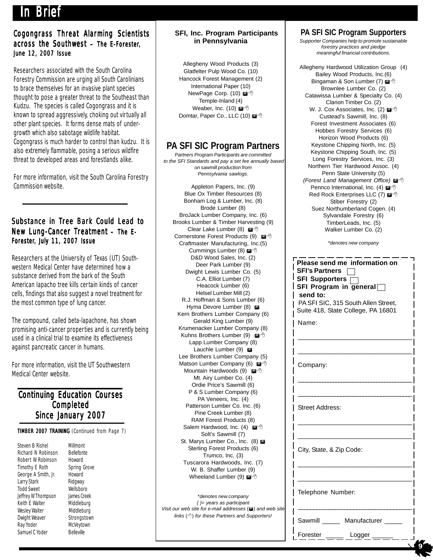# In Brief

# Cogongrass Threat Alarming Scientists across the Southwest – The E-Forester, June 12, 2007 Issue

Researchers associated with the South Carolina Forestry Commission are urging all South Carolinians to brace themselves for an invasive plant species thought to pose a greater threat to the Southeast than Kudzu. The species is called Cogongrass and it is known to spread aggressively, choking out virtually all other plant species. It forms dense mats of undergrowth which also sabotage wildlife habitat. Cogongrass is much harder to control than kudzu. It is also extremely flammable, posing a serious wildfire threat to developed areas and forestlands alike.

For more information, visit the South Carolina Forestry Commission website.

# Substance in Tree Bark Could Lead to New Lung-Cancer Treatment - The E-Forester, July 11, 2007 Issue

Researchers at the University of Texas (UT) Southwestern Medical Center have determined how a substance derived from the bark of the South American Iapacho tree kills certain kinds of cancer cells, findings that also suggest a novel treatment for the most common type of lung cancer.

The compound, called beta-lapachone, has shown promising anti-cancer properties and is currently being used in a clinical trial to examine its effectiveness against pancreatic cancer in humans.

For more information, visit the UT Southwestern Medical Center website.

# **Continuing Education Courses** Completed Since January 2007

TIMBER 2007 TRAINING (Continued from Page 7)

Steven B Rishel Millmont<br>Richard N Robinson Bellefonte Richard N Robinson Robert W Robinson Howard<br>Timothy E Roth Spring Grove Timothy E Roth George A Smith, Jr. Howard Larry Stark Ridgway<br>Todd Sweet Wellsboro **Todd Sweet** Jeffrey W Thompson James Creek Keith E Walter Middleburg Wesley Walter Middleburg<br>
Dwight Weaver Strongstown Dwight Weaver Strongstown<br>
Ray Yoder McVevtown Ray Yoder Samuel C Yoder Belleville

#### **SFI, Inc. Program Participants in Pennsylvania**

Allegheny Wood Products (3) Glatfelter Pulp Wood Co. (10) Hancock Forest Management (2) International Paper (10) NewPage Corp. (10) @<sup>-</sup> Temple-Inland (4) Weaber, Inc. (10) Domtar, Paper Co., LLC (10)

# **PA SFI SIC Program Partners**

*Partners Program Participants are committed to the SFI Standards and pay a set fee annually based on sawmill production from Pennsylvania sawlogs.*

Appleton Papers, Inc. (9) Blue Ox Timber Resources (8) Bonham Log & Lumber, Inc. (8) Brode Lumber (8) BroJack Lumber Company, Inc. (6) Brooks Lumber & Timber Harvesting (9) Clear Lake Lumber (8) Cornerstone Forest Products (9) Craftmaster Manufacturing, Inc.(5) Cummings Lumber (8) @ <sup>+</sup> D&D Wood Sales, Inc. (2) Deer Park Lumber (9) Dwight Lewis Lumber Co. (5) C.A. Elliot Lumber (7) Heacock Lumber (6) Helsel Lumber Mill (2) R.J. Hoffman & Sons Lumber (6) Hyma Devore Lumber (8) Kern Brothers Lumber Company (6) Gerald King Lumber (9) Krumenacker Lumber Company (8) Kuhns Brothers Lumber (9) @<sup>-</sup> Lapp Lumber Company (8) Lauchle Lumber (9) Lee Brothers Lumber Company (5) Matson Lumber Company (6) Mountain Hardwoods (9) Mt. Airy Lumber Co. (4) Ordie Price's Sawmill (6) P & S Lumber Company (6) PA Veneers, Inc. (4) Patterson Lumber Co. Inc. (6) Pine Creek Lumber (8) RAM Forest Products (8) Salem Hardwood, Inc. (4) @<sup>-</sup> Solt's Sawmill (7) St. Marys Lumber Co., Inc. (8) Sterling Forest Products (6) Trumco, Inc. (3) Tuscarora Hardwoods, Inc. (7) W. B. Shaffer Lumber (9) Wheeland Lumber (9) @<sup>-</sup>

\**denotes new company ( )= years as participant Visit our web site for e-mail addresses* ( $\mathbf{a}$ ) and web site *links* () *for these Partners and Supporters!*

# **PA SFI SIC Program Supporters**

*Supporter Companies help to promote sustainable forestry practices and pledge meaningful financial contributions.*

Allegheny Hardwood Utilization Group (4) Bailey Wood Products, Inc.(6) Bingaman & Son Lumber (7)  $\mathbb{Z}^4$ Brownlee Lumber Co. (2) Catawissa Lumber & Specialty Co. (4) Clarion Timber Co. (2) W. J. Cox Associates, Inc. (2) @ <sup>+</sup> Custead's Sawmill, Inc. (8) Forest Investment Associates (6) Hobbes Forestry Services (6) Horizon Wood Products (6) Keystone Chipping North, Inc. (5) Keystone Chipping South, Inc. (5) Long Forestry Services, Inc. (3) Northern Tier Hardwood Assoc. (4) Penn State University (5) **(Forest Land Management Office)**  $\mathbb{Z}^4$ Pennco International, Inc. (4) Red Rock Enterprises LLC (7) @ 8 Stiber Forestry (2) Suez Northumberland Cogen. (4) Sylvandale Forestry (6) TimberLeads, Inc. (5) Walker Lumber Co. (2)

\**denotes new company*

| 6)<br>3) | Please send me information on<br><b>SFI's Partners</b><br>SFI Supporters $\sqcap$<br>SFI Program in general<br>send to:<br>PA SFI SIC, 315 South Allen Street,<br>Suite 418, State College, PA 16801<br>Name: |
|----------|---------------------------------------------------------------------------------------------------------------------------------------------------------------------------------------------------------------|
| 5)<br>ð  | Company:                                                                                                                                                                                                      |
|          | <b>Street Address:</b>                                                                                                                                                                                        |
|          | City, State, & Zip Code:                                                                                                                                                                                      |
| web site | Telephone Number:                                                                                                                                                                                             |
| ers!     | Sawmill Manufacturer<br>Forester<br>Logger                                                                                                                                                                    |

 **9**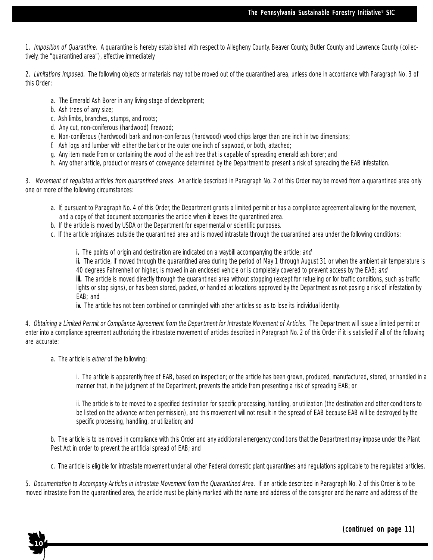1. Imposition of Quarantine. A quarantine is hereby established with respect to Allegheny County, Beaver County, Butler County and Lawrence County (collectively, the "quarantined area"), effective immediately

2. Limitations Imposed. The following objects or materials may not be moved out of the quarantined area, unless done in accordance with Paragraph No. 3 of this Order:

- a. The Emerald Ash Borer in any living stage of development;
- b. Ash trees of any size;
- c. Ash limbs, branches, stumps, and roots;
- d. Any cut, non-coniferous (hardwood) firewood;
- e. Non-coniferous (hardwood) bark and non-coniferous (hardwood) wood chips larger than one inch in two dimensions;
- f. Ash logs and lumber with either the bark or the outer one inch of sapwood, or both, attached;
- g. Any item made from or containing the wood of the ash tree that is capable of spreading emerald ash borer; and
- h. Any other article, product or means of conveyance determined by the Department to present a risk of spreading the EAB infestation.

3. Movement of regulated articles from quarantined areas. An article described in Paragraph No. 2 of this Order may be moved from a quarantined area only one or more of the following circumstances:

- a. If, pursuant to Paragraph No. 4 of this Order, the Department grants a limited permit or has a compliance agreement allowing for the movement, and a copy of that document accompanies the article when it leaves the quarantined area.
- b. If the article is moved by USDA or the Department for experimental or scientific purposes.
- c. If the article originates outside the quarantined area and is moved intrastate through the quarantined area under the following conditions:
	- i. The points of origin and destination are indicated on a waybill accompanying the article; and

ii. The article, if moved through the quarantined area during the period of May 1 through August 31 or when the ambient air temperature is 40 degrees Fahrenheit or higher, is moved in an enclosed vehicle or is completely covered to prevent access by the EAB; and

iii. The article is moved directly through the quarantined area without stopping (except for refueling or for traffic conditions, such as traffic lights or stop signs), or has been stored, packed, or handled at locations approved by the Department as not posing a risk of infestation by EAB; and

iv. The article has not been combined or commingled with other articles so as to lose its individual identity.

4. Obtaining a Limited Permit or Compliance Agreement from the Department for Intrastate Movement of Articles. The Department will issue a limited permit or enter into a compliance agreement authorizing the intrastate movement of articles described in Paragraph No. 2 of this Order if it is satisfied if all of the following are accurate:

a. The article is either of the following:

**10**

i. The article is apparently free of EAB, based on inspection; or the article has been grown, produced, manufactured, stored, or handled in a manner that, in the judgment of the Department, prevents the article from presenting a risk of spreading EAB; or

ii. The article is to be moved to a specified destination for specific processing, handling, or utilization (the destination and other conditions to be listed on the advance written permission), and this movement will not result in the spread of EAB because EAB will be destroyed by the specific processing, handling, or utilization; and

b. The article is to be moved in compliance with this Order and any additional emergency conditions that the Department may impose under the Plant Pest Act in order to prevent the artificial spread of EAB; and

c. The article is eligible for intrastate movement under all other Federal domestic plant quarantines and regulations applicable to the regulated articles.

5. Documentation to Accompany Articles in Intrastate Movement from the Quarantined Area. If an article described in Paragraph No. 2 of this Order is to be moved intrastate from the quarantined area, the article must be plainly marked with the name and address of the consignor and the name and address of the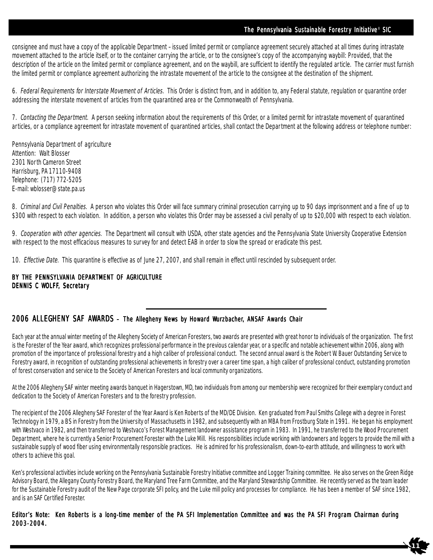#### The Pennsylvania Sustainable Forestry Initiative® SIC

**11**

consignee and must have a copy of the applicable Department –issued limited permit or compliance agreement securely attached at all times during intrastate movement attached to the article itself, or to the container carrying the article, or to the consignee's copy of the accompanying waybill: Provided, that the description of the article on the limited permit or compliance agreement, and on the waybill, are sufficient to identify the regulated article. The carrier must furnish the limited permit or compliance agreement authorizing the intrastate movement of the article to the consignee at the destination of the shipment.

6. Federal Requirements for Interstate Movement of Articles. This Order is distinct from, and in addition to, any Federal statute, regulation or quarantine order addressing the interstate movement of articles from the quarantined area or the Commonwealth of Pennsylvania.

7. Contacting the Department. A person seeking information about the requirements of this Order, or a limited permit for intrastate movement of quarantined articles, or a compliance agreement for intrastate movement of quarantined articles, shall contact the Department at the following address or telephone number:

Pennsylvania Department of agriculture Attention: Walt Blosser 2301 North Cameron Street Harrisburg, PA 17110-9408 Telephone: (717) 772-5205 E-mail: wblosser@state.pa.us

8. Criminal and Civil Penalties. A person who violates this Order will face summary criminal prosecution carrying up to 90 days imprisonment and a fine of up to \$300 with respect to each violation. In addition, a person who violates this Order may be assessed a civil penalty of up to \$20,000 with respect to each violation.

9. Cooperation with other agencies. The Department will consult with USDA, other state agencies and the Pennsylvania State University Cooperative Extension with respect to the most efficacious measures to survey for and detect EAB in order to slow the spread or eradicate this pest.

10. Effective Date. This quarantine is effective as of June 27, 2007, and shall remain in effect until rescinded by subsequent order.

### BY THE PENNSYLVANIA DEPARTMENT OF AGRICULTURE DENNIS C WOLFF, Secretary

#### 2006 ALLEGHENY SAF AWARDS – The Allegheny News by Howard Wurzbacher, ANSAF Awards Chair

Each year at the annual winter meeting of the Allegheny Society of American Foresters, two awards are presented with great honor to individuals of the organization. The first is the Forester of the Year award, which recognizes professional performance in the previous calendar year, or a specific and notable achievement within 2006, along with promotion of the importance of professional forestry and a high caliber of professional conduct. The second annual award is the Robert W. Bauer Outstanding Service to Forestry award, in recognition of outstanding professional achievements in forestry over a career time span, a high caliber of professional conduct, outstanding promotion of forest conservation and service to the Society of American Foresters and local community organizations.

At the 2006 Allegheny SAF winter meeting awards banquet in Hagerstown, MD, two individuals from among our membership were recognized for their exemplary conduct and dedication to the Society of American Foresters and to the forestry profession.

The recipient of the 2006 Allegheny SAF Forester of the Year Award is Ken Roberts of the MD/DE Division. Ken graduated from Paul Smiths College with a degree in Forest Technology in 1979, a BS in Forestry from the University of Massachusetts in 1982, and subsequently with an MBA from Frostburg State in 1991. He began his employment with Westvaco in 1982, and then transferred to Westvaco's Forest Management landowner assistance program in 1983. In 1991, he transferred to the Wood Procurement Department, where he is currently a Senior Procurement Forester with the Luke Mill. His responsibilities include working with landowners and loggers to provide the mill with a sustainable supply of wood fiber using environmentally responsible practices. He is admired for his professionalism, down-to-earth attitude, and willingness to work with others to achieve this goal.

Ken's professional activities include working on the Pennsylvania Sustainable Forestry Initiative committee and Logger Training committee. He also serves on the Green Ridge Advisory Board, the Allegany County Forestry Board, the Maryland Tree Farm Committee, and the Maryland Stewardship Committee. He recently served as the team leader for the Sustainable Forestry audit of the New Page corporate SFI policy, and the Luke mill policy and processes for compliance. He has been a member of SAF since 1982, and is an SAF Certified Forester.

#### Editor's Note: Ken Roberts is a long-time member of the PA SFI Implementation Committee and was the PA SFI Program Chairman during 2003-2004.